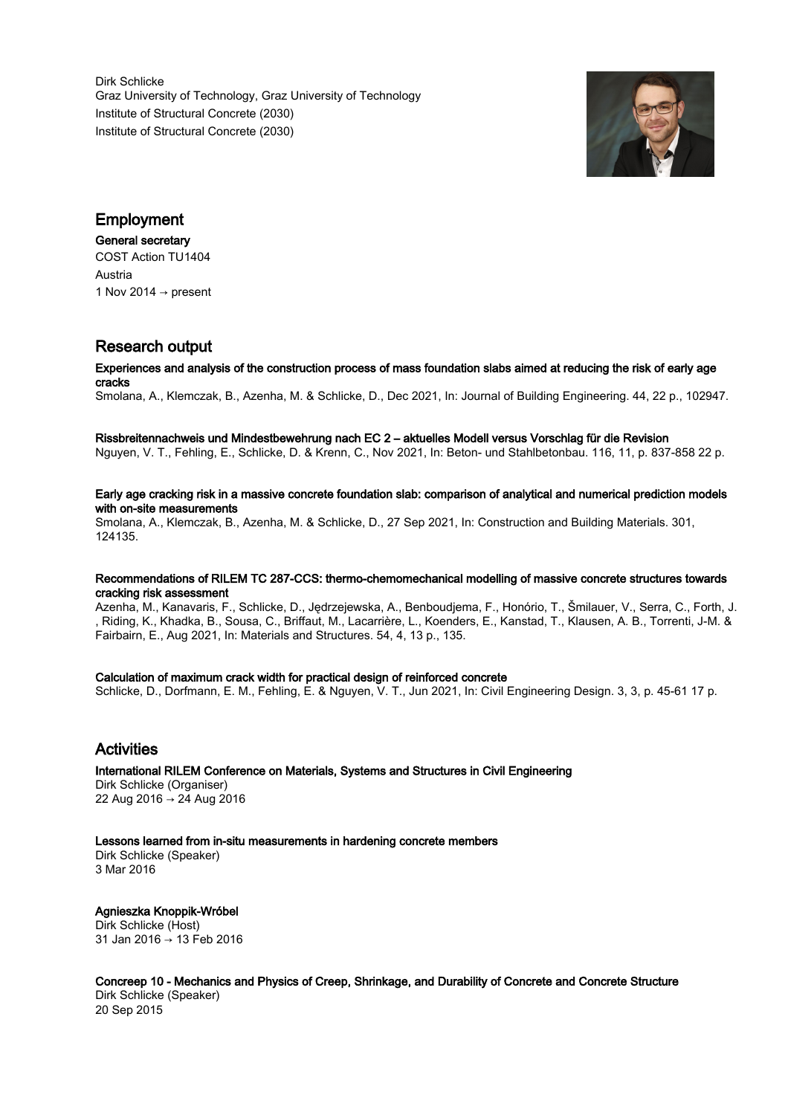Dirk Schlicke Graz University of Technology, Graz University of Technology Institute of Structural Concrete (2030) Institute of Structural Concrete (2030)



# Employment

#### General secretary

COST Action TU1404 Austria 1 Nov 2014  $\rightarrow$  present

# Research output

#### Experiences and analysis of the construction process of mass foundation slabs aimed at reducing the risk of early age cracks

Smolana, A., Klemczak, B., Azenha, M. & Schlicke, D., Dec 2021, In: Journal of Building Engineering. 44, 22 p., 102947.

#### Rissbreitennachweis und Mindestbewehrung nach EC 2 – aktuelles Modell versus Vorschlag für die Revision

Nguyen, V. T., Fehling, E., Schlicke, D. & Krenn, C., Nov 2021, In: Beton- und Stahlbetonbau. 116, 11, p. 837-858 22 p.

#### Early age cracking risk in a massive concrete foundation slab: comparison of analytical and numerical prediction models with on-site measurements

Smolana, A., Klemczak, B., Azenha, M. & Schlicke, D., 27 Sep 2021, In: Construction and Building Materials. 301, 124135.

#### Recommendations of RILEM TC 287-CCS: thermo-chemomechanical modelling of massive concrete structures towards cracking risk assessment

Azenha, M., Kanavaris, F., Schlicke, D., Jędrzejewska, A., Benboudjema, F., Honório, T., Šmilauer, V., Serra, C., Forth, J. , Riding, K., Khadka, B., Sousa, C., Briffaut, M., Lacarrière, L., Koenders, E., Kanstad, T., Klausen, A. B., Torrenti, J-M. & Fairbairn, E., Aug 2021, In: Materials and Structures. 54, 4, 13 p., 135.

### Calculation of maximum crack width for practical design of reinforced concrete

Schlicke, D., Dorfmann, E. M., Fehling, E. & Nguyen, V. T., Jun 2021, In: Civil Engineering Design. 3, 3, p. 45-61 17 p.

# Activities

# International RILEM Conference on Materials, Systems and Structures in Civil Engineering

Dirk Schlicke (Organiser) 22 Aug 2016 → 24 Aug 2016

### Lessons learned from in-situ measurements in hardening concrete members

Dirk Schlicke (Speaker) 3 Mar 2016

Agnieszka Knoppik-Wróbel Dirk Schlicke (Host) 31 Jan 2016 → 13 Feb 2016

Concreep 10 - Mechanics and Physics of Creep, Shrinkage, and Durability of Concrete and Concrete Structure Dirk Schlicke (Speaker) 20 Sep 2015